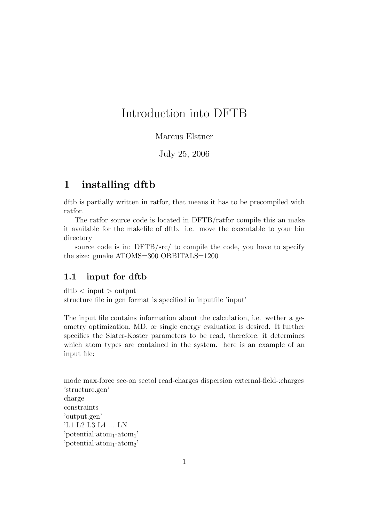# Introduction into DFTB

### Marcus Elstner

July 25, 2006

## 1 installing dftb

dftb is partially written in ratfor, that means it has to be precompiled with ratfor.

The ratfor source code is located in DFTB/ratfor compile this an make it available for the makefile of dftb. i.e. move the executable to your bin directory

source code is in: DFTB/src/ to compile the code, you have to specify the size: gmake ATOMS=300 ORBITALS=1200

#### 1.1 input for dftb

 $\mathrm{dftb} < \mathrm{input} > \mathrm{output}$ structure file in gen format is specified in inputfile 'input'

The input file contains information about the calculation, i.e. wether a geometry optimization, MD, or single energy evaluation is desired. It further specifies the Slater-Koster parameters to be read, therefore, it determines which atom types are contained in the system. here is an example of an input file:

mode max-force scc-on scctol read-charges dispersion external-field-:charges 'structure.gen' charge constraints 'output.gen' 'L1 L2 L3 L4 ... LN  $'potential:atom_1-atom_1'$  $'potential:atom_1-atom_2'$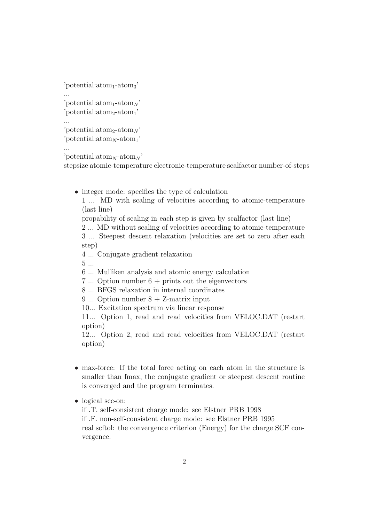```
'potential:atom_1-atom_3'...
'potential:\text{atom}_1\text{-atom}_N'
'potential:atom_2\text{-atom}_1'...
'potential:\text{atom}_2\text{-atom}_N'
'potential:\text{atom}_N\text{-atom}_1'
```
...

'potential: $\text{atom}_N$ -atom<sub>N</sub>'

stepsize atomic-temperature electronic-temperature scalfactor number-of-steps

• integer mode: specifies the type of calculation

1 ... MD with scaling of velocities according to atomic-temperature (last line)

propability of scaling in each step is given by scalfactor (last line)

2 ... MD without scaling of velocities according to atomic-temperature

3 ... Steepest descent relaxation (velocities are set to zero after each step)

4 ... Conjugate gradient relaxation

5 ...

6 ... Mulliken analysis and atomic energy calculation

7 ... Option number  $6 + \text{prints out the eigenvectors}$ 

8 ... BFGS relaxation in internal coordinates

9 ... Option number 8 + Z-matrix input

10... Excitation spectrum via linear response

11... Option 1, read and read velocities from VELOC.DAT (restart option)

12... Option 2, read and read velocities from VELOC.DAT (restart option)

- max-force: If the total force acting on each atom in the structure is smaller than fmax, the conjugate gradient or steepest descent routine is converged and the program terminates.
- logical scc-on:

if .T. self-consistent charge mode: see Elstner PRB 1998 if .F. non-self-consistent charge mode: see Elstner PRB 1995 real scftol: the convergence criterion (Energy) for the charge SCF convergence.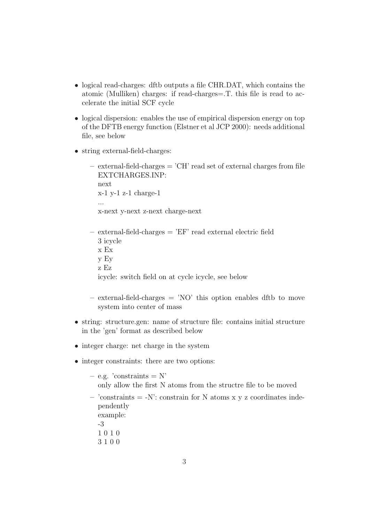- logical read-charges: dftb outputs a file CHR.DAT, which contains the atomic (Mulliken) charges: if read-charges=.T. this file is read to accelerate the initial SCF cycle
- logical dispersion: enables the use of empirical dispersion energy on top of the DFTB energy function (Elstner et al JCP 2000): needs additional file, see below
- string external-field-charges:
	- $-$  external-field-charges  $=$  'CH' read set of external charges from file EXTCHARGES.INP: next x-1 y-1 z-1 charge-1 ... x-next y-next z-next charge-next
	- $-$  external-field-charges  $=$  'EF' read external electric field 3 icycle
		- x Ex
		- y Ey
		- z Ez

icycle: switch field on at cycle icycle, see below

- $-$  external-field-charges  $=$  'NO' this option enables dftb to move system into center of mass
- string: structure.gen: name of structure file: contains initial structure in the 'gen' format as described below
- integer charge: net charge in the system
- integer constraints: there are two options:
	- $-$  e.g. 'constraints  $=$  N' only allow the first N atoms from the structre file to be moved
	- $-$  'constraints =  $-N$ ': constrain for N atoms x y z coordinates independently example:
		- -3
		- 1 0 1 0
		- 3 1 0 0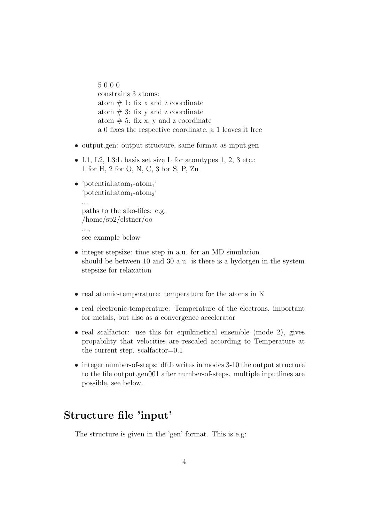5 0 0 0 constrains 3 atoms: atom  $# 1$ : fix x and z coordinate atom  $\# 3$ : fix y and z coordinate atom  $# 5:$  fix x, y and z coordinate a 0 fixes the respective coordinate, a 1 leaves it free

- output.gen: output structure, same format as input.gen
- L1, L2, L3:L basis set size L for atomtypes 1, 2, 3 etc.: 1 for H, 2 for O, N, C, 3 for S, P, Zn
- 'potential: $atom_1$ -atom<sub>1</sub>'  $'potential:atom_1-atom_2'$ ... paths to the slko-files: e.g. /home/sp2/elstner/oo ..., see example below
- integer stepsize: time step in a.u. for an MD simulation should be between 10 and 30 a.u. is there is a hydorgen in the system stepsize for relaxation
- real atomic-temperature: temperature for the atoms in K
- real electronic-temperature: Temperature of the electrons, important for metals, but also as a convergence accelerator
- real scalfactor: use this for equikinetical ensemble (mode 2), gives propability that velocities are rescaled according to Temperature at the current step. scalfactor=0.1
- integer number-of-steps: dftb writes in modes 3-10 the output structure to the file output.gen001 after number-of-steps. multiple inputlines are possible, see below.

## Structure file 'input'

The structure is given in the 'gen' format. This is e.g: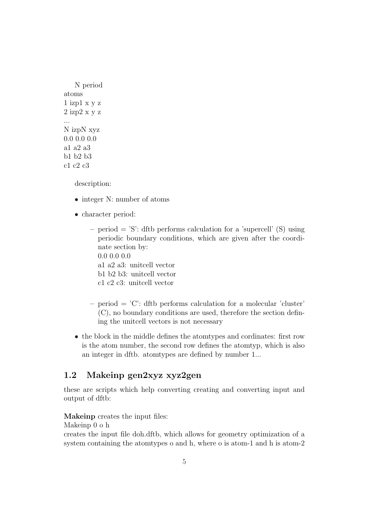N period atoms 1 izp1 x y z 2 izp2 x y z ... N izpN xyz 0.0 0.0 0.0 a1 a2 a3 b1 b2 b3 c1 c2 c3

description:

- integer N: number of atoms
- character period:
	- period  $=$  'S': dftb performs calculation for a 'supercell' (S) using periodic boundary conditions, which are given after the coordinate section by: 0.0 0.0 0.0
		- a1 a2 a3: unitcell vector
		- b1 b2 b3: unitcell vector
		- c1 c2 c3: unitcell vector
	- $\phi$  period = 'C': dftb performs calculation for a molecular 'cluster' (C), no boundary conditions are used, therefore the section defining the unitcell vectors is not necessary
- the block in the middle defines the atomtypes and cordinates: first row is the atom number, the second row defines the atomtyp, which is also an integer in dftb. atomtypes are defined by number 1...

### 1.2 Makeinp gen2xyz xyz2gen

these are scripts which help converting creating and converting input and output of dftb:

Makeinp creates the input files:

Makeinp 0 o h

creates the input file doh.dftb, which allows for geometry optimization of a system containing the atomtypes o and h, where o is atom-1 and h is atom-2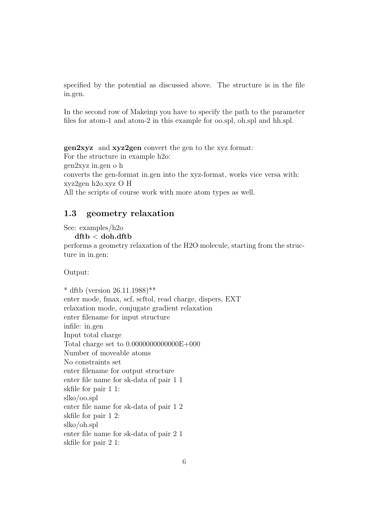specified by the potential as discussed above. The structure is in the file in.gen.

In the second row of Makeinp you have to specify the path to the parameter files for atom-1 and atom-2 in this example for oo.spl, oh.spl and hh.spl.

gen2xyz and xyz2gen convert the gen to the xyz format: For the structure in example h2o: gen2xyz in.gen o h converts the gen-format in.gen into the xyz-format, works vice versa with: xyz2gen h2o.xyz O H All the scripts of course work with more atom types as well.

### 1.3 geometry relaxation

See: examples/h2o

 $dftb <$  doh.dftb

performs a geometry relaxation of the H2O molecule, starting from the structure in in.gen:

Output:

\* dftb (version  $26.11.1988$ )\*\* enter mode, fmax, scf, scftol, read charge, dispers, EXT relaxation mode, conjugate gradient relaxation enter filename for input structure infile: in.gen Input total charge Total charge set to 0.0000000000000E+000 Number of moveable atoms No constraints set enter filename for output structure enter file name for sk-data of pair 1 1 skfile for pair 1 1: slko/oo.spl enter file name for sk-data of pair 1 2 skfile for pair 1 2: slko/oh.spl enter file name for sk-data of pair 2 1 skfile for pair 2 1: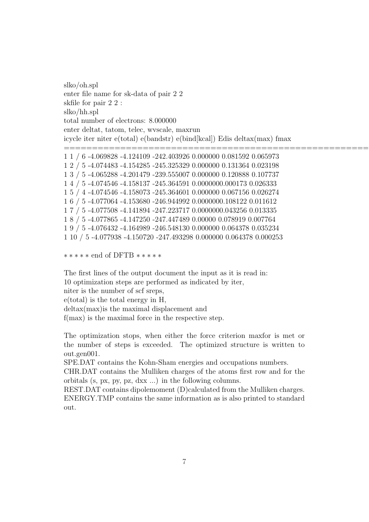slko/oh.spl enter file name for sk-data of pair 2 2 skfile for pair 2 2 : slko/hh.spl total number of electrons: 8.000000 enter deltat, tatom, telec, wvscale, maxrun icycle iter niter e(total) e(bandstr) e(bind[kcal]) Edis deltax(max) fmax =========================================================================================================================== 1 1 / 6 -4.069828 -4.124109 -242.403926 0.000000 0.081592 0.065973 1 2 / 5 -4.074483 -4.154285 -245.325329 0.000000 0.131364 0.023198 1 3 / 5 -4.065288 -4.201479 -239.555007 0.000000 0.120888 0.107737 1 4 / 5 -4.074546 -4.158137 -245.364591 0.0000000.000173 0.026333 1 5 / 4 -4.074546 -4.158073 -245.364601 0.000000 0.067156 0.026274 1 6 / 5 -4.077064 -4.153680 -246.944992 0.0000000.108122 0.011612 1 7 / 5 -4.077508 -4.141894 -247.223717 0.0000000.043256 0.013335

1 8 / 5 -4.077865 -4.147250 -247.447489 0.00000 0.078919 0.007764 1 9 / 5 -4.076432 -4.164989 -246.548130 0.000000 0.064378 0.035234

1 10 / 5 -4.077938 -4.150720 -247.493298 0.000000 0.064378 0.000253

```
∗ ∗ ∗ ∗ ∗ end of DFTB ∗ ∗ ∗ ∗ ∗
```
The first lines of the output document the input as it is read in: 10 optimization steps are performed as indicated by iter, niter is the number of scf sreps,

e(total) is the total energy in H,

deltax(max)is the maximal displacement and

f(max) is the maximal force in the respective step.

The optimization stops, when either the force criterion maxfor is met or the number of steps is exceeded. The optimized structure is written to out.gen001.

SPE.DAT contains the Kohn-Sham energies and occupations numbers.

CHR.DAT contains the Mulliken charges of the atoms first row and for the orbitals (s, px, py, pz, dxx ...) in the following columns.

REST.DAT contains dipolemoment (D)calculated from the Mulliken charges. ENERGY.TMP contains the same information as is also printed to standard out.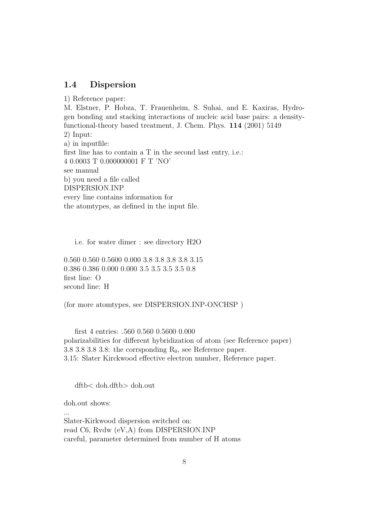### 1.4 Dispersion

1) Reference paper: M. Elstner, P. Hobza, T. Frauenheim, S. Suhai, and E. Kaxiras, Hydrogen bonding and stacking interactions of nucleic acid base pairs: a densityfunctional-theory based treatment, J. Chem. Phys. 114 (2001) 5149 2) Input: a) in inputfile: first line has to contain a T in the second last entry, i.e.: 4 0.0003 T 0.000000001 F T 'NO' see manual b) you need a file called DISPERSION.INP every line contains information for the atomtypes, as defined in the input file.

i.e. for water dimer : see directory H2O

0.560 0.560 0.5600 0.000 3.8 3.8 3.8 3.8 3.15 0.386 0.386 0.000 0.000 3.5 3.5 3.5 3.5 0.8 first line: O second line: H

(for more atomtypes, see DISPERSION.INP-ONCHSP )

first 4 entries: .560 0.560 0.5600 0.000 polarizabilities for different hybridization of atom (see Reference paper) 3.8 3.8 3.8 3.8: the corrsponding  $R_0$ , see Reference paper. 3.15: Slater Kirckwood effective electron number, Reference paper.

dftb< doh.dftb> doh.out

doh.out shows:

...

Slater-Kirkwood dispersion switched on: read C6, Rvdw (eV,A) from DISPERSION.INP careful, parameter determined from number of H atoms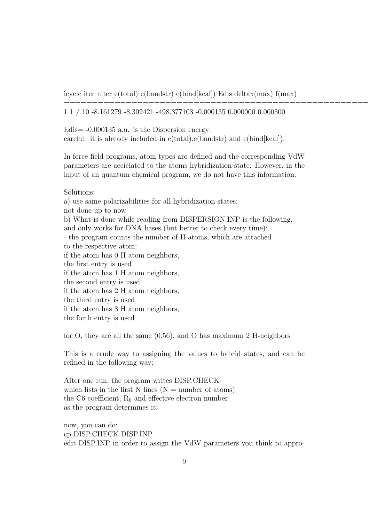icycle iter niter e(total) e(bandstr) e(bind[kcal]) Edis deltax(max) f(max)

====================================================================================================

1 1 / 10 -8.161279 -8.302421 -498.377103 -0.000135 0.000000 0.000300

Edis= -0.000135 a.u. is the Dispersion energy: careful: it is already included in e(total),e(bandstr) and e(bind[kcal]).

In force field programs, atom types are defined and the corresponding VdW parameters are acciciated to the atoms hybridization state: However, in the input of an quantum chemical program, we do not have this information:

Solutions:

a) use same polarizabilities for all hybridization states: not done up to now b) What is done while reading from DISPERSION.INP is the following, and only works for DNA bases (but better to check every time): - the program counts the number of H-atoms, which are attached to the respective atom: if the atom has 0 H atom neighbors, the first entry is used if the atom has 1 H atom neighbors, the second entry is used if the atom has 2 H atom neighbors, the third entry is used if the atom has 3 H atom neighbors, the forth entry is used

for O, they are all the same (0.56), and O has maximum 2 H-neighbors

This is a crude way to assigning the values to hybrid states, and can be refined in the following way:

After one run, the program writes DISP.CHECK which lists in the first N lines ( $N =$  number of atoms) the C6 coefficient,  $R_0$  and effective electron number as the program determines it:

now, you can do: cp DISP.CHECK DISP.INP edit DISP.INP in order to assign the VdW parameters you think to appro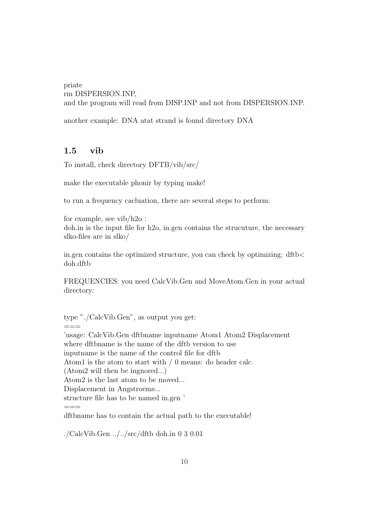priate rm DISPERSION.INP, and the program will read from DISP.INP and not from DISPERSION.INP.

another example: DNA atat strand is found directory DNA

### 1.5 vib

To install, check directory DFTB/vib/src/

make the executable phonir by typing make!

to run a frequency cacluation, there are several steps to perform:

for example, see vib/h2o : doh.in is the input file for h2o, in.gen contains the strucuture, the necessary slko-files are in slko/

in.gen contains the optimized structure, you can check by optimizing: dftb< doh.dftb

FREQUENCIES: you need CalcVib.Gen and MoveAtom.Gen in your actual directory:

type "./CalcVib.Gen", as output you get:

 $=$ 

'usage: CalcVib.Gen dftbname inputname Atom1 Atom2 Displacement where dftbname is the name of the dftb version to use inputname is the name of the control file for dftb Atom1 is the atom to start with / 0 means: do header calc. (Atom2 will then be ingnored...) Atom2 is the last atom to be moved... Displacement in Angstroems... structure file has to be named in.gen ' ===

dftbname has to contain the actual path to the executable!

./CalcVib.Gen ../../src/dftb doh.in 0 3 0.01